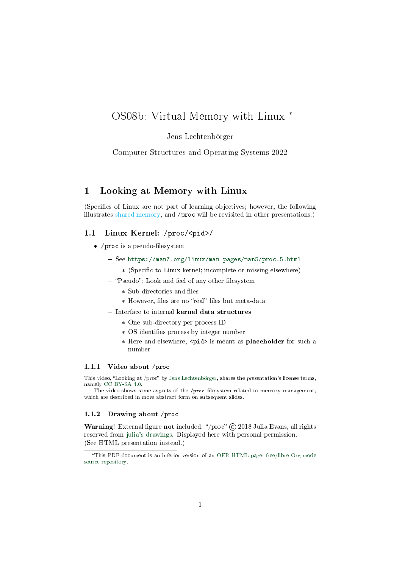# OS08b: Virtual Memory with Linux \*

### Jens Lechtenbörger

### Computer Structures and Operating Systems 2022

## 1 Looking at Memory with Linux

(Specifics of Linux are not part of learning objectives; however, the following illustrates shared memory, and /proc will be revisited in other presentations.)

### 1.1 Linux Kernel: /proc/<pid>/

- $\bullet$  /proc is a pseudo-filesystem
	- See <https://man7.org/linux/man-pages/man5/proc.5.html>
		- \* (Specific to Linux kernel; incomplete or missing elsewhere)
	- "Pseudo": Look and feel of any other filesystem
		- \* Sub-directories and files
		- \* However, files are no "real" files but meta-data
	- Interface to internal kernel data structures
		- \* One sub-directory per process ID
		- \* OS identifies process by integer number
		- \* Here and elsewhere, <pid> is meant as placeholder for such a number

#### 1.1.1 Video about /proc

This video, "Looking at /proc" by [Jens Lechtenbörger,](https://lechten.gitlab.io/#me) shares the presentation's license terms, namely [CC BY-SA 4.0.](https://creativecommons.org/licenses/by-sa/4.0/)

The video shows some aspects of the /proc filesystem related to memory management, which are described in more abstract form on subsequent slides.

#### 1.1.2 Drawing about /proc

Warning! External figure not included: "/proc" © 2018 Julia Evans, all rights reserved from [julia's drawings.](https://drawings.jvns.ca/proc/) Displayed here with personal permission. (See HTML presentation instead.)

<sup>\*</sup>This PDF document is an inferior version of an [OER HTML page;](https://oer.gitlab.io/OS/Operating-Systems-Memory-Linux.html) [free/libre Org mode](https://gitlab.com/oer/OS) [source repository.](https://gitlab.com/oer/OS)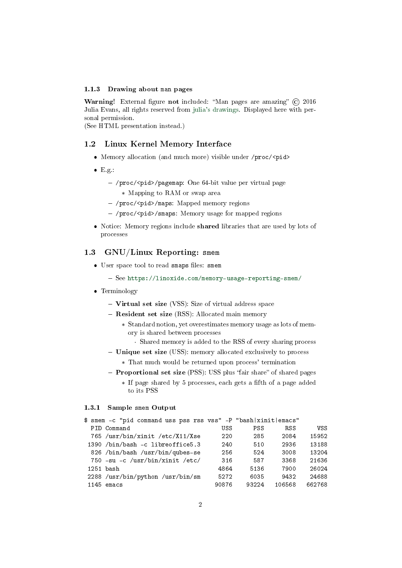#### 1.1.3 Drawing about man pages

Warning! External figure not included: "Man pages are amazing" (C) 2016 Julia Evans, all rights reserved from [julia's drawings.](https://drawings.jvns.ca/man/) Displayed here with personal permission.

(See HTML presentation instead.)

### 1.2 Linux Kernel Memory Interface

- Memory allocation (and much more) visible under /proc/<pid>
- $\bullet$  E.g.:
	- /proc/<pid>/pagemap: One 64-bit value per virtual page
		- \* Mapping to RAM or swap area
	- /proc/<pid>/maps: Mapped memory regions
	- /proc/<pid>/smaps: Memory usage for mapped regions
- Notice: Memory regions include shared libraries that are used by lots of processes

### 1.3 GNU/Linux Reporting: smem

- User space tool to read smaps files: smem
	- See <https://linoxide.com/memory-usage-reporting-smem/>
- Terminology
	- Virtual set size (VSS): Size of virtual address space
	- Resident set size (RSS): Allocated main memory
		- \* Standard notion, yet overestimates memory usage as lots of memory is shared between processes
			- · Shared memory is added to the RSS of every sharing process
	- Unique set size (USS): memory allocated exclusively to process
		- \* That much would be returned upon process' termination
	- Proportional set size (PSS): USS plus "fair share" of shared pages
		- \* If page shared by 5 processes, each gets a fth of a page added to its PSS

#### 1.3.1 Sample smem Output

| \$ smem -c "pid command uss pss rss vss" -P "bash xinit emacs" |       |            |            |        |
|----------------------------------------------------------------|-------|------------|------------|--------|
| PID Command                                                    | USS   | <b>PSS</b> | <b>RSS</b> | VSS    |
| 765 /usr/bin/xinit /etc/X11/Xse                                | 220   | 285        | 2084       | 15952  |
| 1390 /bin/bash -c libreoffice5.3                               | 240   | 510        | 2936       | 13188  |
| 826 /bin/bash /usr/bin/qubes-se                                | 256   | 524        | 3008       | 13204  |
| 750 -su -c /usr/bin/xinit /etc/                                | 316   | 587        | 3368       | 21636  |
| 1251 bash                                                      | 4864  | 5136       | 7900       | 26024  |
| 2288 /usr/bin/python /usr/bin/sm                               | 5272  | 6035       | 9432       | 24688  |
| $1145$ emacs                                                   | 90876 | 93224      | 106568     | 662768 |